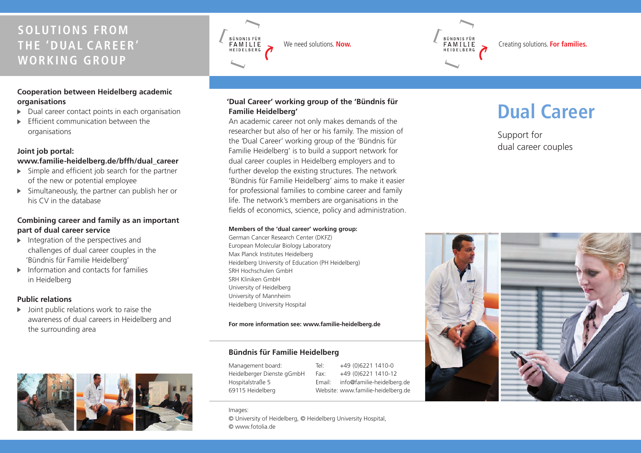# **SOLUTIONS FROM THE 'DUAL CAREER' WORKING GROUP**

### **Cooperation between Heidelberg academic organisations**

- Dual career contact points in each organisation
- Efficient communication between the organisations

### **Joint job portal:**

### **www.familie-heidelberg.de/bffh/dual\_career**

- $\triangleright$  Simple and efficient job search for the partner of the new or potential employee
- $\triangleright$  Simultaneously, the partner can publish her or his CV in the database

### **Combining career and family as an important part of dual career service**

- $\blacktriangleright$  Integration of the perspectives and challenges of dual career couples in the 'Bündnis für Familie Heidelberg'
- $\blacktriangleright$  Information and contacts for families in Heidelberg

### **Public relations**

 $\triangleright$  Joint public relations work to raise the awareness of dual careers in Heidelberg and the surrounding area



BÜNDNIS FÜR<br>FAMILIE HEIDELBERG



An academic career not only makes demands of the researcher but also of her or his family. The mission of the 'Dual Career' working group of the 'Bündnis für Familie Heidelberg' is to build a support network for dual career couples in Heidelberg employers and to further develop the existing structures. The network 'Bündnis für Familie Heidelberg' aims to make it easier for professional families to combine career and family life. The network's members are organisations in the fields of economics, science, policy and administration.

#### **Members of the 'dual career' working group:**

German Cancer Research Center (DKFZ) European Molecular Biology Laboratory Max Planck Institutes Heidelberg Heidelberg University of Education (PH Heidelberg) SRH Hochschulen GmbH SRH Kliniken GmbH University of Heidelberg University of Mannheim Heidelberg University Hospital

### **For more information see: www.familie- heidelberg.de**

### **Bündnis für Familie Heidelberg**

Management board: Heidelberger Dienste gGmbH Hospitalstraße 5 69115 Heidelberg

Tel: +49 (0)6221 1410-0  $Fax: +49(0)62211410-12$ Email: info@familie- heidelberg.de Website: www.familie-heidelberg.de

# We need solutions. **Now.**<br>We need solutions. **Now.**<br>ELDELBERG **C**reating solutions. **For families.**

# **Dual Career**

Support for dual career couples



Images:

© University of Heidelberg, © Heidelberg University Hospital, © www.fotolia.de